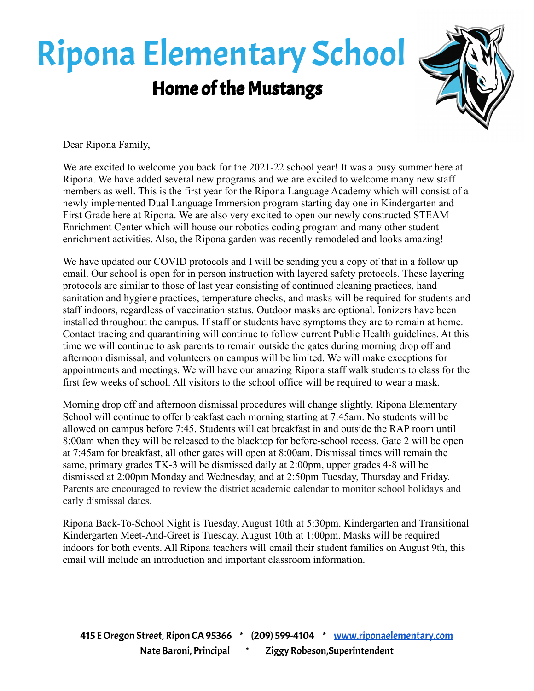## Ripona Elementary School Home of the Mustangs



Dear Ripona Family,

We are excited to welcome you back for the 2021-22 school year! It was a busy summer here at Ripona. We have added several new programs and we are excited to welcome many new staff members as well. This is the first year for the Ripona Language Academy which will consist of a newly implemented Dual Language Immersion program starting day one in Kindergarten and First Grade here at Ripona. We are also very excited to open our newly constructed STEAM Enrichment Center which will house our robotics coding program and many other student enrichment activities. Also, the Ripona garden was recently remodeled and looks amazing!

We have updated our COVID protocols and I will be sending you a copy of that in a follow up email. Our school is open for in person instruction with layered safety protocols. These layering protocols are similar to those of last year consisting of continued cleaning practices, hand sanitation and hygiene practices, temperature checks, and masks will be required for students and staff indoors, regardless of vaccination status. Outdoor masks are optional. Ionizers have been installed throughout the campus. If staff or students have symptoms they are to remain at home. Contact tracing and quarantining will continue to follow current Public Health guidelines. At this time we will continue to ask parents to remain outside the gates during morning drop off and afternoon dismissal, and volunteers on campus will be limited. We will make exceptions for appointments and meetings. We will have our amazing Ripona staff walk students to class for the first few weeks of school. All visitors to the school office will be required to wear a mask.

Morning drop off and afternoon dismissal procedures will change slightly. Ripona Elementary School will continue to offer breakfast each morning starting at 7:45am. No students will be allowed on campus before 7:45. Students will eat breakfast in and outside the RAP room until 8:00am when they will be released to the blacktop for before-school recess. Gate 2 will be open at 7:45am for breakfast, all other gates will open at 8:00am. Dismissal times will remain the same, primary grades TK-3 will be dismissed daily at 2:00pm, upper grades 4-8 will be dismissed at 2:00pm Monday and Wednesday, and at 2:50pm Tuesday, Thursday and Friday. Parents are encouraged to review the district academic calendar to monitor school holidays and early dismissal dates.

Ripona Back-To-School Night is Tuesday, August 10th at 5:30pm. Kindergarten and Transitional Kindergarten Meet-And-Greet is Tuesday, August 10th at 1:00pm. Masks will be required indoors for both events. All Ripona teachers will email their student families on August 9th, this email will include an introduction and important classroom information.